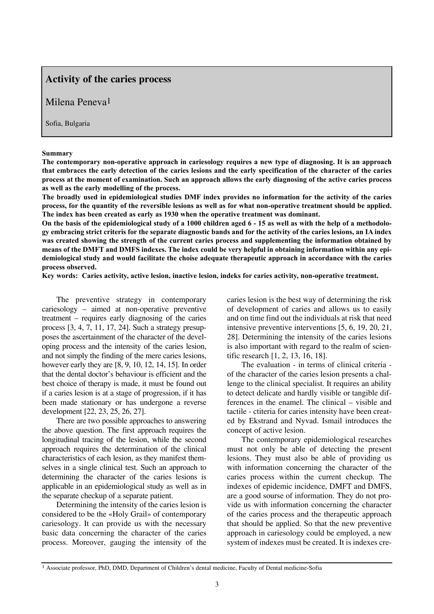# **Activity of the caries process**

# Milena Peneva1

Sofia, Bulgaria

#### **Summary**

**The contemporary non-operative approach in cariesology requires a new type of diagnosing. It is an approach that embraces the early detection of the caries lesions and the early specification of the character of the caries process at the moment of examination. Such an approach allows the early diagnosing of the active caries process as well as the early modelling of the process.** 

**The broadly used in epidemiological studies DMF index provides no information for the activity of the caries process, for the quantity of the reversible lesions as well as for what non-operative treatment should be applied. The index has been created as early as 1930 when the operative treatment was dominant.**

**On the basis of the epidemiological study of a 1000 children aged 6 - 15 as well as with the help of a methodology embracing strict criteris for the separate diagnostic bands and for the activity of the caries lesions, an IA index was created showing the strength of the current caries process and supplementing the information obtained by means of the DMFT and DMFS indexes. The index could be very helpful in obtaining information within any epidemiological study and would facilitate the choise adequate therapeutic approach in accordance with the caries process observed.** 

**Key words: Caries activity, active lesion, inactive lesion, indeks for caries activity, non-operative treatment.**

The preventive strategy in contemporary cariesology – aimed at non-operative preventive treatment – requires early diagnosing of the caries process [3, 4, 7, 11, 17, 24]. Such a strategy presupposes the ascertainment of the character of the developing process and the intensity of the caries lesion, and not simply the finding of the mere caries lesions, however early they are [8, 9, 10, 12, 14, 15]. In order that the dental doctor's behaviour is efficient and the best choice of therapy is made, it must be found out if a caries lesion is at a stage of progression, if it has been made stationary or has undergone a reverse development [22, 23, 25, 26, 27].

There are two possible approaches to answering the above question. The first approach requires the longitudinal tracing of the lesion, while the second approach requires the determination of the clinical characteristics of each lesion, as they manifest themselves in a single clinical test. Such an approach to determining the character of the caries lesions is applicable in an epidemiological study as well as in the separate checkup of a separate patient.

Determining the intensity of the caries lesion is considered to be the «Holy Grail» of contemporary cariesology. It can provide us with the necessary basic data concerning the character of the caries process. Moreover, gauging the intensity of the

caries lesion is the best way of determining the risk of development of caries and allows us to easily and on time find out the individuals at risk that need intensive preventive interventions [5, 6, 19, 20, 21, 28]. Determining the intensity of the caries lesions is also important with regard to the realm of scientific research [1, 2, 13, 16, 18].

The evaluation - in terms of clinical criteria of the character of the caries lesion presents a challenge to the clinical specialist. It requires an ability to detect delicate and hardly visible or tangible differences in the enamel. The clinical – visible and tactile - ctiteria for caries intensity have been created by Ekstrand and Nyvad. Ismail introduces the concept of active lesion.

The contemporary epidemiological researches must not only be able of detecting the present lesions. They must also be able of providing us with information concerning the character of the caries process within the current checkup. The indexes of epidemic incidence, DMFT and DMFS, are a good sourse of information. They do not provide us with information concerning the character of the caries process and the therapeutic approach that should be applied. So that the new preventive approach in cariesology could be employed, a new system of indexes must be created. It is indexes cre-

<sup>1</sup> Associate professor, PhD, DMD, Department of Children's dental medicine, Faculty of Dental medicine-Sofia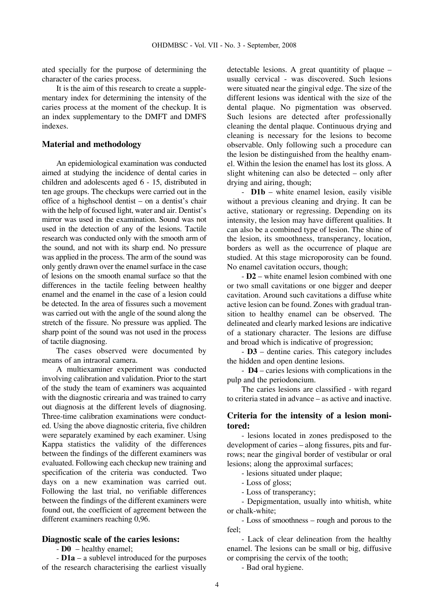ated specially for the purpose of determining the character of the caries process.

It is the aim of this research to create a supplementary index for determining the intensity of the caries process at the moment of the checkup. It is an index supplementary to the DMFT and DMFS indexes.

### **Material and methodology**

An epidemiological examination was conducted aimed at studying the incidence of dental caries in children and adolescents aged 6 - 15, distributed in ten age groups. The checkups were carried out in the office of a highschool dentist – on a dentist's chair with the help of focused light, water and air. Dentist's mirror was used in the examination. Sound was not used in the detection of any of the lesions. Tactile research was conducted only with the smooth arm of the sound, and not with its sharp end. No pressure was applied in the process. The arm of the sound was only gently drawn over the enamel surface in the case of lesions on the smooth enamal surface so that the differences in the tactile feeling between healthy enamel and the enamel in the case of a lesion could be detected. In the area of fissures such a movement was carried out with the angle of the sound along the stretch of the fissure. No pressure was applied. The sharp point of the sound was not used in the process of tactile diagnosing.

The cases observed were documented by means of an intraoral camera.

A multiexaminer experiment was conducted involving calibration and validation. Prior to the start of the study the team of examiners was acquainted with the diagnostic crirearia and was trained to carry out diagnosis at the different levels of diagnosing. Three-time calibration examinations were conducted. Using the above diagnostic criteria, five children were separately examined by each examiner. Using Kappa statistics the validity of the differences between the findings of the different examiners was evaluated. Following each checkup new training and specification of the criteria was conducted. Two days on a new examination was carried out. Following the last trial, no verifiable differences between the findings of the different examiners were found out, the coefficient of agreement between the different examiners reaching 0,96.

### **Diagnostic scale of the caries lesions:**

- **D0** – healthy enamel;

- **D1a** – a sublevel introduced for the purposes of the research characterising the earliest visually

detectable lesions. A great quantitity of plaque – usually cervical - was discovered. Such lesions were situated near the gingival edge. The size of the different lesions was identical with the size of the dental plaque. No pigmentation was observed. Such lesions are detected after professionally cleaning the dental plaque. Continuous drying and cleaning is necessary for the lesions to become observable. Only following such a procedure can the lesion be distinguished from the healthy enamel. Within the lesion the enamel has lost its gloss. A slight whitening can also be detected – only after drying and airing, though;

- **D1b** – white enamel lesion, easily visible without a previous cleaning and drying. It can be active, stationary or regressing. Depending on its intensity, the lesion may have different qualities. It can also be a combined type of lesion. The shine of the lesion, its smoothness, transperancy, location, borders as well as the occurrence of plaque are studied. At this stage microporosity can be found. No enamel cavitation occurs, though;

- **D2** – white enamel lesion combined with one or two small cavitations or one bigger and deeper cavitation. Around such cavitations a diffuse white active lesion can be found. Zones with gradual transition to healthy enamel can be observed. The delineated and clearly marked lesions are indicative of a stationary character. The lesions are diffuse and broad which is indicative of progression;

- **D3** – dentine caries. This category includes the hidden and open dentine lesions.

- **D4** – caries lesions with complications in the pulp and the periodoncium.

The caries lesions are classified - with regard to criteria stated in advance – as active and inactive.

## **Criteria for the intensity of a lesion monitored:**

- lesions located in zones predisposed to the development of caries – along fissures, pits and furrows; near the gingival border of vestibular or oral lesions; along the approximal surfaces;

- lesions situated under plaque;

- Loss of gloss;

- Loss of transperancy;

- Depigmentation, usually into whitish, white or chalk-white;

- Loss of smoothness – rough and porous to the feel;

- Lack of clear delineation from the healthy enamel. The lesions can be small or big, diffusive or comprising the cervix of the tooth;

- Bad oral hygiene.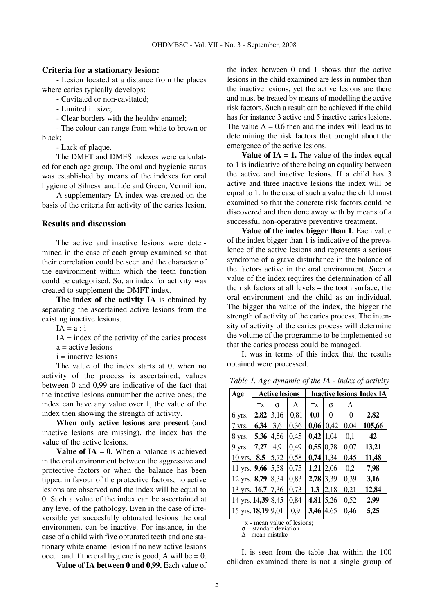### **Criteria for a stationary lesion:**

- Lesion located at a distance from the places where caries typically develops;

- Cavitated or non-cavitated;

- Limited in size;
- Clear borders with the healthy enamel;

- The colour can range from white to brown or black;

- Lack of plaque.

The DMFT and DMFS indexes were calculated for each age group. The oral and hygienic status was established by means of the indexes for oral hygiene of Silness and Löe and Green, Vermillion.

A supplementary IA index was created on the basis of the criteria for activity of the caries lesion.

### **Results and discussion**

The active and inactive lesions were determined in the case of each group examined so that their correlation could be seen and the character of the environment within which the teeth function could be categorised. So, an index for activity was created to supplement the DMFT index.

**The index of the activity IA** is obtained by separating the ascertained active lesions from the existing inactive lesions.

 $IA = a : i$ 

 $IA = index of the activity of the carries process$ 

 $a =$  active lesions

 $i =$  inactive lesions

The value of the index starts at 0, when no activity of the process is ascertained; values between 0 and 0,99 are indicative of the fact that the inactive lesions outnumber the active ones; the index can have any value over 1, the value of the index then showing the strength of activity.

**When only active lesions are present** (and inactive lesions are missing), the index has the value of the active lesions.

**Value of IA = 0.** When a balance is achieved in the oral environment between the aggressive and protective factors or when the balance has been tipped in favour of the protective factors, no active lesions are observed and the index will be equal to 0. Such a value of the index can be ascertained at any level of the pathology. Even in the case of irreversible yet succesfully obturated lesions the oral environment can be inactive. For instance, in the case of a child with five obturated teeth and one stationary white enamel lesion if no new active lesions occur and if the oral hygiene is good, A will be  $= 0$ .

**Value of IA between 0 and 0,99.** Each value of

the index between 0 and 1 shows that the active lesions in the child examined are less in number than the inactive lesions, yet the active lesions are there and must be treated by means of modelling the active risk factors. Such a result can be achieved if the child has for instance 3 active and 5 inactive caries lesions. The value  $A = 0.6$  then and the index will lead us to determining the risk factors that brought about the emergence of the active lesions.

**Value of IA = 1.** The value of the index equal to 1 is indicative of there being an equality between the active and inactive lesions. If a child has 3 active and three inactive lesions the index will be equal to 1. In the case of such a value the child must examined so that the concrete risk factors could be discovered and then done away with by means of a successful non-operative preventive treatment.

**Value of the index bigger than 1.** Each value of the index bigger than 1 is indicative of the prevalence of the active lesions and represents a serious syndrome of a grave disturbance in the balance of the factors active in the oral environment. Such a value of the index requires the determination of all the risk factors at all levels – the tooth surface, the oral environment and the child as an individual. The bigger tha value of the index, the bigger the strength of activity of the caries process. The intensity of activity of the caries process will determine the volume of the programme to be implemented so that the caries process could be managed.

It was in terms of this index that the results obtained were processed.

*Table 1. Age dynamic of the IA - index of activity* 

| Age                | <b>Active lesions</b> |      |      | <b>Inactive lesions Index IA</b> |      |      |        |
|--------------------|-----------------------|------|------|----------------------------------|------|------|--------|
|                    | $\mathbf{x}$          | σ    | л    | $\mathsf{x}$                     | σ    | Δ    |        |
| 6 yrs.             | 2,82                  | 3,16 | 0,81 | 0,0                              | 0    | 0    | 2,82   |
| 7 yrs.             | 6,34                  | 3,6  | 0,36 | 0,06                             | 0,42 | 0,04 | 105,66 |
| 8 yrs.             | 5,36                  | 4,56 | 0,45 | 0,42                             | 1,04 | 0,1  | 42     |
| $9$ yrs.           | 7,27                  | 4,9  | 0,49 | 0,55                             | 0,78 | 0,07 | 13,21  |
| $10$ yrs.          | 8,5                   | 5,72 | 0,58 | 0,74                             | 1,34 | 0,45 | 11,48  |
| $11$ yrs.          | 9,66                  | 5,58 | 0,75 | 1,21                             | 2,06 | 0,2  | 7,98   |
| $12$ yrs.          | 8,79                  | 8,34 | 0,83 | 2,78                             | 3,39 | 0,39 | 3,16   |
| 13 yrs.            | 16,7                  | 7.36 | 0,73 | 1,3                              | 2,18 | 0,21 | 12,84  |
| 14 yrs. 14,39 8,45 |                       |      | 0,84 | 4,81                             | 5,26 | 0,52 | 2,99   |
| 15 yrs. 18,19 9,01 |                       |      | 0,9  | 3,46                             | 4.65 | 0,46 | 5,25   |

 $\overline{-x}$  - mean value of lesions; σ – standart deviation

 $\tilde{\Delta}$  - mean mistake

It is seen from the table that within the 100 children examined there is not a single group of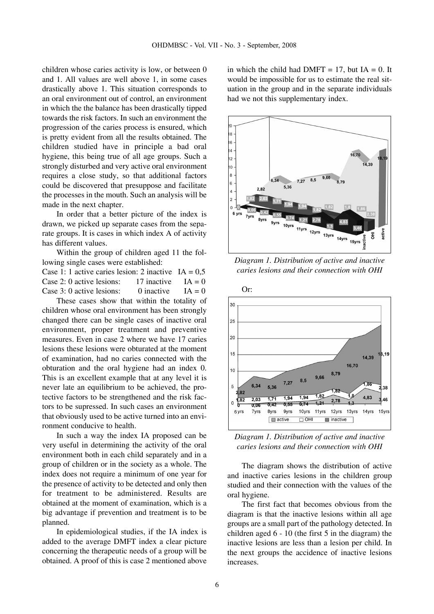children whose caries activity is low, or between 0 and 1. All values are well above 1, in some cases drastically above 1. This situation corresponds to an oral environment out of control, an environment in which the the balance has been drastically tipped towards the risk factors. In such an environment the progression of the caries process is ensured, which is pretty evident from all the results obtained. The children studied have in principle a bad oral hygiene, this being true of all age groups. Such a strongly disturbed and very active oral environment requires a close study, so that additional factors could be discovered that presuppose and facilitate the processes in the mouth. Such an analysis will be made in the next chapter.

In order that a better picture of the index is drawn, we picked up separate cases from the separate groups. It is cases in which index A of activity has different values.

Within the group of children aged 11 the following single cases were established:

Case 1: 1 active caries lesion: 2 inactive  $IA = 0.5$ Case 2: 0 active lesions:  $17$  inactive  $IA = 0$ Case 3: 0 active lesions: 0 inactive  $IA = 0$ 

These cases show that within the totality of children whose oral environment has been strongly changed there can be single cases of inactive oral environment, proper treatment and preventive measures. Even in case 2 where we have 17 caries lesions these lesions were obturated at the moment of examination, had no caries connected with the obturation and the oral hygiene had an index 0. This is an excellent example that at any level it is never late an equilibrium to be achieved, the protective factors to be strengthened and the risk factors to be supressed. In such cases an environment that obviously used to be active turned into an environment conducive to health.

In such a way the index IA proposed can be very useful in determining the activity of the oral environment both in each child separately and in a group of children or in the society as a whole. The index does not require a minimum of one year for the presence of activity to be detected and only then for treatment to be administered. Results are obtained at the moment of examination, which is a big advantage if prevention and treatment is to be planned.

In epidemiological studies, if the IA index is added to the average DMFT index a clear picture concerning the therapeutic needs of a group will be obtained. A proof of this is case 2 mentioned above in which the child had DMFT = 17, but  $IA = 0$ . It would be impossible for us to estimate the real situation in the group and in the separate individuals had we not this supplementary index.



*Diagram 1. Distribution of active and inactive caries lesions and their connection with OHI*



*Diagram 1. Distribution of active and inactive caries lesions and their connection with OHI*

The diagram shows the distribution of active and inactive caries lesions in the children group studied and their connection with the values of the oral hygiene.

The first fact that becomes obvious from the diagram is that the inactive lesions within all age groups are a small part of the pathology detected. In children aged 6 - 10 (the first 5 in the diagram) the inactive lesions are less than a lesion per child. In the next groups the accidence of inactive lesions increases.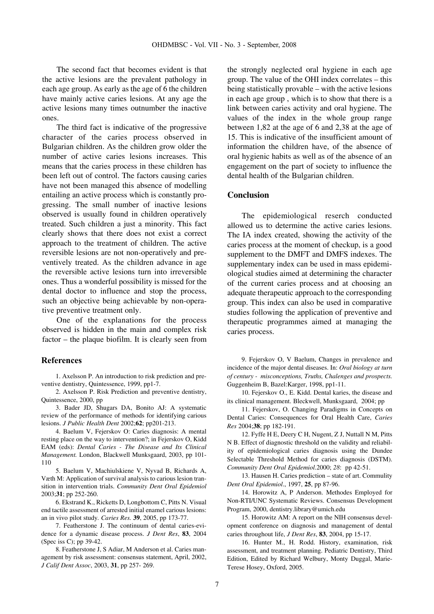The second fact that becomes evident is that the active lesions are the prevalent pathology in each age group. As early as the age of 6 the children have mainly active caries lesions. At any age the active lesions many times outnumber the inactive ones.

The third fact is indicative of the progressive character of the caries process observed in Bulgarian children. As the children grow older the number of active caries lesions increases. This means that the caries process in these children has been left out of control. The factors causing caries have not been managed this absence of modelling entailing an active process which is constantly progressing. The small number of inactive lesions observed is usually found in children operatively treated. Such children a just a minority. This fact clearly shows that there does not exist a correct approach to the treatment of children. The active reversible lesions are not non-operatively and preventively treated. As the children advance in age the reversible active lesions turn into irreversible ones. Thus a wonderful possibility is missed for the dental doctor to influence and stop the process, such an objective being achievable by non-operative preventive treatment only.

One of the explanations for the process observed is hidden in the main and complex risk factor – the plaque biofilm. It is clearly seen from

### **References**

1. Axelsson P. An introduction to risk prediction and preventive dentistry, Quintessence, 1999, pp1-7.

2. Axelsson P. Risk Prediction and preventive dentistry, Quintessence, 2000, pp

3. Bader JD, Shugars DA, Bonito AJ: A systematic review of the performance of methods for identifying carious lesions. *J Public Health Dent* 2002;**62**; pp201-213.

4. Baelum V, Fejerskov O: Caries diagnosis: A mental resting place on the way to intervention?; in Fejerskov O, Kidd EAM (eds): *Dental Caries - The Disease and Its Clinical Management.* London, Blackwell Munksgaard, 2003, pp 101- 110

5. Baelum V, Machiulskiene V, Nyvad B, Richards A, Væth M: Application of survival analysis to carious lesion transition in intervention trials. *Community Dent Oral Epidemiol* 2003;**31**; pp 252-260.

6. Ekstrand K., Ricketts D, Longbottom C, Pitts N. Visual end tactile assessment of arrested initial enamel carious lesions: an in vivo pilot study*. Caries Res.* **39**, 2005, pp 173-77.

7. Featherstone J. The continuum of dental caries-evidence for a dynamic disease process. *J Dent Res*, **83**, 2004 (Spec iss C); pp 39-42.

8. Featherstone J, S Adiar, M Anderson et al. Caries management by risk assessment: consensus statement, April, 2002, *J Calif Dent Assoc*, 2003, **31**, pp 257- 269.

the strongly neglected oral hygiene in each age group. The value of the OHI index correlates – this being statistically provable – with the active lesions in each age group , which is to show that there is a link between caries activity and oral hygiene. The values of the index in the whole group range between 1,82 at the age of 6 and 2,38 at the age of 15. This is indicative of the insufficient amount of information the children have, of the absence of oral hygienic habits as well as of the absence of an engagement on the part of society to influence the dental health of the Bulgarian children.

### **Conclusion**

The epidemiological reserch conducted allowed us to determine the active caries lesions. The IA index created, showing the activity of the caries process at the moment of checkup, is a good supplement to the DMFT and DMFS indexes. The supplementary index can be used in mass epidemiological studies aimed at determining the character of the current caries process and at choosing an adequate therapeutic approach to the corresponding group. This index can also be used in comparative studies following the application of preventive and therapeutic programmes aimed at managing the caries process.

9. Fejerskov O, V Baelum, Changes in prevalence and incidence of the major dental diseases. In: *Oral biology at turn of century - misconceptions, Truths, Chalenges and prospects.* Guggenheim B, Bazel:Karger, 1998, pp1-11.

10. Fejerskov O., E. Kidd. Dental karies, the disease and its clinical management. Bleckwell, Munksgaard, 2004; pp

11. Fejerskov, O. Changing Paradigms in Concepts on Dental Caries: Consequences for Oral Health Care, *Caries Res* 2004;**38**; pp 182-191.

12. Fyffe H E, Deery C H, Nugent, Z J, Nuttall N M, Pitts N B. Effect of diagnostic threshold on the validity and reliability of epidemiological caries diagnosis using the Dundee Selectable Threshold Method for caries diagnosis (DSTM). *Community Dent Oral Epidemiol*.2000; *28*: pp 42-51.

13. Hausen H. Caries prediction – state of art. Commulity *Dent Oral Epidemiol*., 1997, **25**, pp 87-96.

14. Horowitz A, P Anderson. Methodes Employed for Non-RTI/UNC Systematic Reviews. Consensus Development Program, 2000, dentistry.library@umich.edu

15. Horowitz AM: A report on the NIH consensus development conference on diagnosis and management of dental caries throughout life, *J Dent Res*, **83**, 2004, pp 15-17.

16. Hunter M., H. Rodd. History, examination, risk assessment, and treatment planning. Pediatric Dentistry, Third Edition, Edited by Richard Welbury, Monty Duggal, Marie-Terese Hosey, Oxford, 2005.